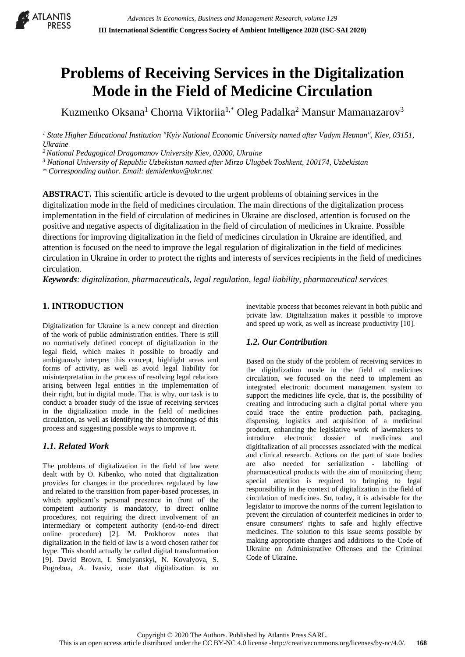

# **Problems of Receiving Services in the Digitalization Mode in the Field of Medicine Circulation**

Kuzmenko Oksana<sup>1</sup> Chorna Viktoriia<sup>1,\*</sup> Oleg Padalka<sup>2</sup> Mansur Mamanazarov<sup>3</sup>

<sup>1</sup> State Higher Educational Institution "Kyiv National Economic University named after Vadym Hetman", Kiev, 03151, *Ukraine*

*<sup>2</sup>National Pedagogical Dragomanov University Kiev, 02000, Ukraine*

*<sup>3</sup> National University of Republic Uzbekistan named after Mirzo Ulugbek Toshkent, 100174, Uzbekistan*

*\* Corresponding author. Email: demidenkov@ukr.net*

**ABSTRACT.** This scientific article is devoted to the urgent problems of obtaining services in the digitalization mode in the field of medicines circulation. The main directions of the digitalization process implementation in the field of circulation of medicines in Ukraine are disclosed, attention is focused on the positive and negative aspects of digitalization in the field of circulation of medicines in Ukraine. Possible directions for improving digitalization in the field of medicines circulation in Ukraine are identified, and attention is focused on the need to improve the legal regulation of digitalization in the field of medicines circulation in Ukraine in order to protect the rights and interests of services recipients in the field of medicines circulation.

*Keywords: digitalization, pharmaceuticals, legal regulation, legal liability, pharmaceutical services*

## **1. INTRODUCTION**

Digitalization for Ukraine is a new concept and direction of the work of public administration entities. There is still no normatively defined concept of digitalization in the legal field, which makes it possible to broadly and ambiguously interpret this concept, highlight areas and forms of activity, as well as avoid legal liability for misinterpretation in the process of resolving legal relations arising between legal entities in the implementation of their right, but in digital mode. That is why, our task is to conduct a broader study of the issue of receiving services in the digitalization mode in the field of medicines circulation, as well as identifying the shortcomings of this process and suggesting possible ways to improve it.

### *1.1. Related Work*

The problems of digitalization in the field of law were dealt with by O. Kibenko, who noted that digitalization provides for changes in the procedures regulated by law and related to the transition from paper-based processes, in which applicant's personal presence in front of the competent authority is mandatory, to direct online procedures, not requiring the direct involvement of an intermediary or competent authority (end-to-end direct online procedure) [2]. M. Prokhorov notes that digitalization in the field of law is a word chosen rather for hype. This should actually be called digital transformation [9]. David Brown, I. Smelyanskyi, N. Kovalyova, S. Pogrebna, A. Ivasiv, note that digitalization is an

inevitable process that becomes relevant in both public and private law. Digitalization makes it possible to improve and speed up work, as well as increase productivity [10].

## *1.2. Our Contribution*

Based on the study of the problem of receiving services in the digitalization mode in the field of medicines circulation, we focused on the need to implement an integrated electronic document management system to support the medicines life cycle, that is, the possibility of creating and introducing such a digital portal where you could trace the entire production path, packaging, dispensing, logistics and acquisition of a medicinal product, enhancing the legislative work of lawmakers to introduce electronic dossier of medicines and digititalization of all processes associated with the medical and clinical research. Actions on the part of state bodies are also needed for serialization - labelling of pharmaceutical products with the aim of monitoring them; special attention is required to bringing to legal responsibility in the context of digitalization in the field of circulation of medicines. So, today, it is advisable for the legislator to improve the norms of the current legislation to prevent the circulation of counterfeit medicines in order to ensure consumers' rights to safe and highly effective medicines. The solution to this issue seems possible by making appropriate changes and additions to the Code of Ukraine on Administrative Offenses and the Criminal Code of Ukraine.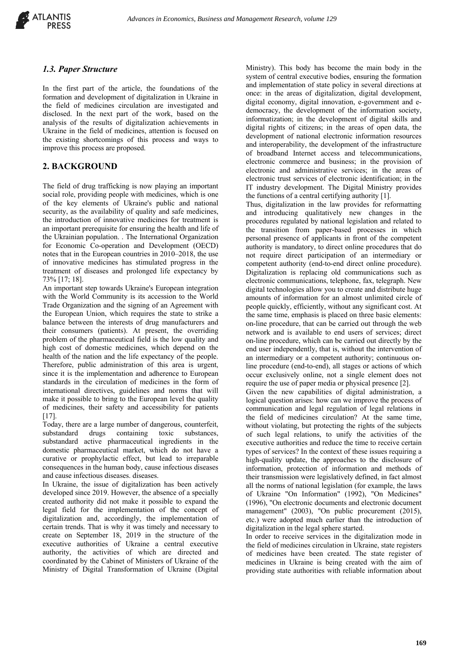

#### *1.3. Paper Structure*

In the first part of the article, the foundations of the formation and development of digitalization in Ukraine in the field of medicines circulation are investigated and disclosed. In the next part of the work, based on the analysis of the results of digitalization achievements in Ukraine in the field of medicines, attention is focused on the existing shortcomings of this process and ways to improve this process are proposed.

#### **2. BACKGROUND**

The field of drug trafficking is now playing an important social role, providing people with medicines, which is one of the key elements of Ukraine's public and national security, as the availability of quality and safe medicines, the introduction of innovative medicines for treatment is an important prerequisite for ensuring the health and life of the Ukrainian population. . The International Organization for Economic Co-operation and Development (OECD) notes that in the European countries in 2010–2018, the use of innovative medicines has stimulated progress in the treatment of diseases and prolonged life expectancy by 73% [17; 18].

An important step towards Ukraine's European integration with the World Community is its accession to the World Trade Organization and the signing of an Agreement with the European Union, which requires the state to strike a balance between the interests of drug manufacturers and their consumers (patients). At present, the overriding problem of the pharmaceutical field is the low quality and high cost of domestic medicines, which depend on the health of the nation and the life expectancy of the people. Therefore, public administration of this area is urgent, since it is the implementation and adherence to European standards in the circulation of medicines in the form of international directives, guidelines and norms that will make it possible to bring to the European level the quality of medicines, their safety and accessibility for patients [17].

Today, there are a large number of dangerous, counterfeit, substandard drugs containing toxic substances, substandard active pharmaceutical ingredients in the domestic pharmaceutical market, which do not have a curative or prophylactic effect, but lead to irreparable consequences in the human body, cause infectious diseases and cause infectious diseases. diseases.

In Ukraine, the issue of digitalization has been actively developed since 2019. However, the absence of a specially created authority did not make it possible to expand the legal field for the implementation of the concept of digitalization and, accordingly, the implementation of certain trends. That is why it was timely and necessary to create on September 18, 2019 in the structure of the executive authorities of Ukraine a central executive authority, the activities of which are directed and coordinated by the Cabinet of Ministers of Ukraine of the Ministry of Digital Transformation of Ukraine (Digital

Ministry). This body has become the main body in the system of central executive bodies, ensuring the formation and implementation of state policy in several directions at once: in the areas of digitalization, digital development, digital economy, digital innovation, e-government and edemocracy, the development of the information society, informatization; in the development of digital skills and digital rights of citizens; in the areas of open data, the development of national electronic information resources and interoperability, the development of the infrastructure of broadband Internet access and telecommunications, electronic commerce and business; in the provision of electronic and administrative services; in the areas of electronic trust services of electronic identification; in the IT industry development. The Digital Ministry provides the functions of a central certifying authority [1].

Thus, digitalization in the law provides for reformatting and introducing qualitatively new changes in the procedures regulated by national legislation and related to the transition from paper-based processes in which personal presence of applicants in front of the competent authority is mandatory, to direct online procedures that do not require direct participation of an intermediary or competent authority (end-to-end direct online procedure). Digitalization is replacing old communications such as electronic communications, telephone, fax, telegraph. New digital technologies allow you to create and distribute huge amounts of information for an almost unlimited circle of people quickly, efficiently, without any significant cost. At the same time, emphasis is placed on three basic elements: on-line procedure, that can be carried out through the web network and is available to end users of services; direct on-line procedure, which can be carried out directly by the end user independently, that is, without the intervention of an intermediary or a competent authority; continuous online procedure (end-to-end), all stages or actions of which occur exclusively online, not a single element does not require the use of paper media or physical presence [2].

Given the new capabilities of digital administration, a logical question arises: how can we improve the process of communication and legal regulation of legal relations in the field of medicines circulation? At the same time, without violating, but protecting the rights of the subjects of such legal relations, to unify the activities of the executive authorities and reduce the time to receive certain types of services? In the context of these issues requiring a high-quality update, the approaches to the disclosure of information, protection of information and methods of their transmission were legislatively defined, in fact almost all the norms of national legislation (for example, the laws of Ukraine "On Information" (1992), "On Medicines" (1996), "On electronic documents and electronic document management" (2003), "On public procurement (2015), etc.) were adopted much earlier than the introduction of digitalization in the legal sphere started.

In order to receive services in the digitalization mode in the field of medicines circulation in Ukraine, state registers of medicines have been created. The state register of medicines in Ukraine is being created with the aim of providing state authorities with reliable information about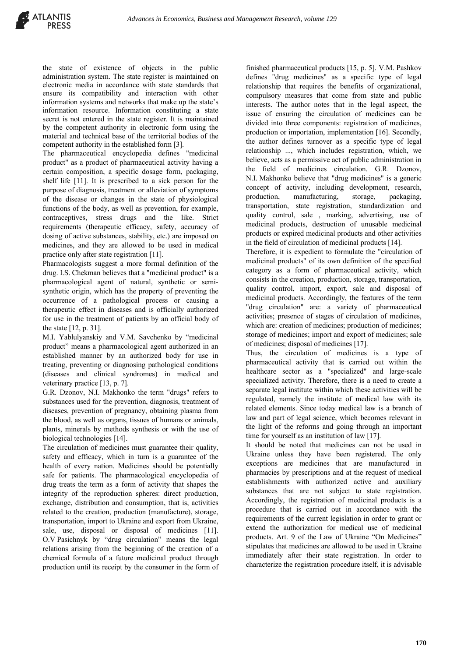the state of existence of objects in the public administration system. The state register is maintained on electronic media in accordance with state standards that ensure its compatibility and interaction with other information systems and networks that make up the state's information resource. Information constituting a state secret is not entered in the state register. It is maintained by the competent authority in electronic form using the material and technical base of the territorial bodies of the competent authority in the established form [3].

The pharmaceutical encyclopedia defines "medicinal product" as a product of pharmaceutical activity having a certain composition, a specific dosage form, packaging, shelf life [11]. It is prescribed to a sick person for the purpose of diagnosis, treatment or alleviation of symptoms of the disease or changes in the state of physiological functions of the body, as well as prevention, for example, contraceptives, stress drugs and the like. Strict requirements (therapeutic efficacy, safety, accuracy of dosing of active substances, stability, etc.) are imposed on medicines, and they are allowed to be used in medical practice only after state registration [11].

Pharmacologists suggest a more formal definition of the drug. I.S. Chekman believes that a "medicinal product" is a pharmacological agent of natural, synthetic or semisynthetic origin, which has the property of preventing the occurrence of a pathological process or causing a therapeutic effect in diseases and is officially authorized for use in the treatment of patients by an official body of the state [12, p. 31].

M.I. Yablulyanskiy and V.M. Savchenko by "medicinal product" means a pharmacological agent authorized in an established manner by an authorized body for use in treating, preventing or diagnosing pathological conditions (diseases and clinical syndromes) in medical and veterinary practice [13, p. 7].

G.R. Dzonov, N.I. Makhonko the term "drugs" refers to substances used for the prevention, diagnosis, treatment of diseases, prevention of pregnancy, obtaining plasma from the blood, as well as organs, tissues of humans or animals, plants, minerals by methods synthesis or with the use of biological technologies [14].

The circulation of medicines must guarantee their quality, safety and efficacy, which in turn is a guarantee of the health of every nation. Medicines should be potentially safe for patients. The pharmacological encyclopedia of drug treats the term as a form of activity that shapes the integrity of the reproduction spheres: direct production, exchange, distribution and consumption, that is, activities related to the creation, production (manufacture), storage, transportation, import to Ukraine and export from Ukraine, sale, use, disposal or disposal of medicines [11]. O.V Pasichnyk by "drug circulation" means the legal relations arising from the beginning of the creation of a chemical formula of a future medicinal product through production until its receipt by the consumer in the form of

finished pharmaceutical products [15, p. 5]. V.M. Pashkov defines "drug medicines" as a specific type of legal relationship that requires the benefits of organizational, compulsory measures that come from state and public interests. The author notes that in the legal aspect, the issue of ensuring the circulation of medicines can be divided into three components: registration of medicines, production or importation, implementation [16]. Secondly, the author defines turnover as a specific type of legal relationship ..., which includes registration, which, we believe, acts as a permissive act of public administration in the field of medicines circulation. G.R. Dzonov, N.I. Makhonko believe that "drug medicines" is a generic concept of activity, including development, research, production, manufacturing, storage, packaging, transportation, state registration, standardization and quality control, sale , marking, advertising, use of medicinal products, destruction of unusable medicinal products or expired medicinal products and other activities in the field of circulation of medicinal products [14].

Therefore, it is expedient to formulate the "circulation of medicinal products" of its own definition of the specified category as a form of pharmaceutical activity, which consists in the creation, production, storage, transportation, quality control, import, export, sale and disposal of medicinal products. Accordingly, the features of the term "drug circulation" are: a variety of pharmaceutical activities; presence of stages of circulation of medicines, which are: creation of medicines; production of medicines; storage of medicines; import and export of medicines; sale of medicines; disposal of medicines [17].

Thus, the circulation of medicines is a type of pharmaceutical activity that is carried out within the healthcare sector as a "specialized" and large-scale specialized activity. Therefore, there is a need to create a separate legal institute within which these activities will be regulated, namely the institute of medical law with its related elements. Since today medical law is a branch of law and part of legal science, which becomes relevant in the light of the reforms and going through an important time for yourself as an institution of law [17].

It should be noted that medicines can not be used in Ukraine unless they have been registered. The only exceptions are medicines that are manufactured in pharmacies by prescriptions and at the request of medical establishments with authorized active and auxiliary substances that are not subject to state registration. Accordingly, the registration of medicinal products is a procedure that is carried out in accordance with the requirements of the current legislation in order to grant or extend the authorization for medical use of medicinal products. Art. 9 of the Law of Ukraine "On Medicines" stipulates that medicines are allowed to be used in Ukraine immediately after their state registration. In order to characterize the registration procedure itself, it is advisable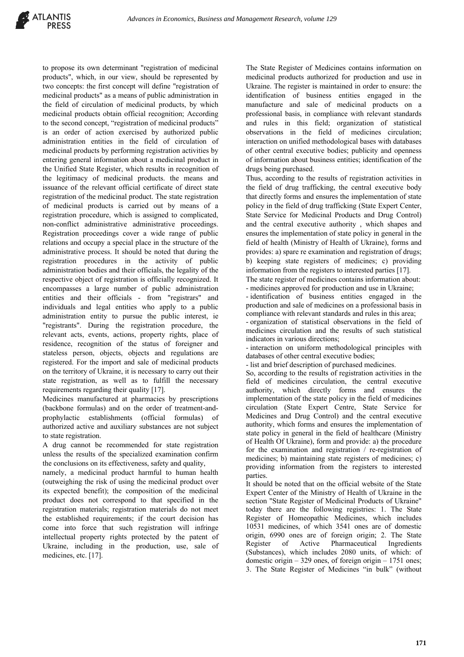to propose its own determinant "registration of medicinal products", which, in our view, should be represented by two concepts: the first concept will define "registration of medicinal products" as a means of public administration in the field of circulation of medicinal products, by which medicinal products obtain official recognition; According to the second concept, "registration of medicinal products" is an order of action exercised by authorized public administration entities in the field of circulation of medicinal products by performing registration activities by entering general information about a medicinal product in the Unified State Register, which results in recognition of the legitimacy of medicinal products. the means and issuance of the relevant official certificate of direct state registration of the medicinal product. The state registration of medicinal products is carried out by means of a registration procedure, which is assigned to complicated, non-conflict administrative administrative proceedings. Registration proceedings cover a wide range of public relations and occupy a special place in the structure of the administrative process. It should be noted that during the registration procedures in the activity of public administration bodies and their officials, the legality of the respective object of registration is officially recognized. It encompasses a large number of public administration entities and their officials - from "registrars" and individuals and legal entities who apply to a public administration entity to pursue the public interest, ie "registrants". During the registration procedure, the relevant acts, events, actions, property rights, place of residence, recognition of the status of foreigner and stateless person, objects, objects and regulations are registered. For the import and sale of medicinal products on the territory of Ukraine, it is necessary to carry out their state registration, as well as to fulfill the necessary requirements regarding their quality [17].

Medicines manufactured at pharmacies by prescriptions (backbone formulas) and on the order of treatment-andprophylactic establishments (official formulas) of authorized active and auxiliary substances are not subject to state registration.

A drug cannot be recommended for state registration unless the results of the specialized examination confirm the conclusions on its effectiveness, safety and quality,

namely, a medicinal product harmful to human health (outweighing the risk of using the medicinal product over its expected benefit); the composition of the medicinal product does not correspond to that specified in the registration materials; registration materials do not meet the established requirements; if the court decision has come into force that such registration will infringe intellectual property rights protected by the patent of Ukraine, including in the production, use, sale of medicines, etc. [17].

The State Register of Medicines contains information on medicinal products authorized for production and use in Ukraine. The register is maintained in order to ensure: the identification of business entities engaged in the manufacture and sale of medicinal products on a professional basis, in compliance with relevant standards and rules in this field; organization of statistical observations in the field of medicines circulation; interaction on unified methodological bases with databases of other central executive bodies; publicity and openness of information about business entities; identification of the drugs being purchased.

Thus, according to the results of registration activities in the field of drug trafficking, the central executive body that directly forms and ensures the implementation of state policy in the field of drug trafficking (State Expert Center, State Service for Medicinal Products and Drug Control) and the central executive authority , which shapes and ensures the implementation of state policy in general in the field of health (Ministry of Health of Ukraine), forms and provides: a) spare re examination and registration of drugs; b) keeping state registers of medicines; c) providing information from the registers to interested parties [17].

The state register of medicines contains information about: - medicines approved for production and use in Ukraine;

- identification of business entities engaged in the production and sale of medicines on a professional basis in compliance with relevant standards and rules in this area;

- organization of statistical observations in the field of medicines circulation and the results of such statistical indicators in various directions;

- interaction on uniform methodological principles with databases of other central executive bodies;

- list and brief description of purchased medicines.

So, according to the results of registration activities in the field of medicines circulation, the central executive authority, which directly forms and ensures the implementation of the state policy in the field of medicines circulation (State Expert Centre, State Service for Medicines and Drug Control) and the central executive authority, which forms and ensures the implementation of state policy in general in the field of healthcare (Ministry of Health Of Ukraine), form and provide: a) the procedure for the examination and registration / re-registration of medicines; b) maintaining state registers of medicines; c) providing information from the registers to interested parties.

It should be noted that on the official website of the State Expert Center of the Ministry of Health of Ukraine in the section "State Register of Medicinal Products of Ukraine" today there are the following registries: 1. The State Register of Homeopathic Medicines, which includes 10531 medicines, of which 3541 ones are of domestic origin, 6990 ones are of foreign origin; 2. The State Register of Active Pharmaceutical Ingredients (Substances), which includes 2080 units, of which: of domestic origin – 329 ones, of foreign origin – 1751 ones; 3. The State Register of Medicines "in bulk" (without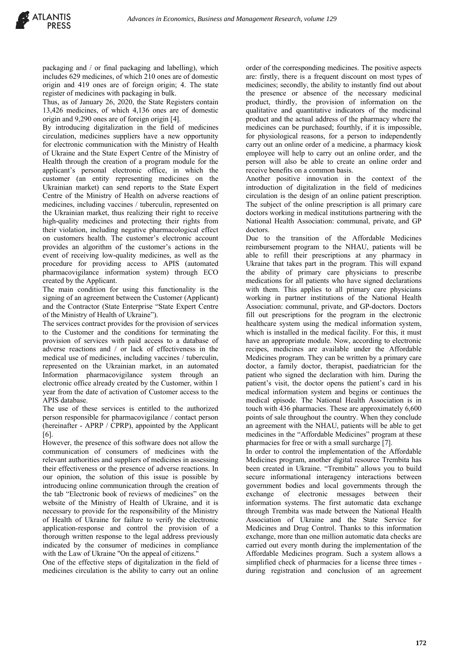packaging and / or final packaging and labelling), which includes 629 medicines, of which 210 ones are of domestic origin and 419 ones are of foreign origin; 4. The state register of medicines with packaging in bulk.

Thus, as of January 26, 2020, the State Registers contain 13,426 medicines, of which 4,136 ones are of domestic origin and 9,290 ones are of foreign origin [4].

By introducing digitalization in the field of medicines circulation, medicines suppliers have a new opportunity for electronic communication with the Ministry of Health of Ukraine and the State Expert Centre of the Ministry of Health through the creation of a program module for the applicant's personal electronic office, in which the customer (an entity representing medicines on the Ukrainian market) can send reports to the State Expert Centre of the Ministry of Health on adverse reactions of medicines, including vaccines / tuberculin, represented on the Ukrainian market, thus realizing their right to receive high-quality medicines and protecting their rights from their violation, including negative pharmacological effect on customers health. The customer's electronic account provides an algorithm of the customer's actions in the event of receiving low-quality medicines, as well as the procedure for providing access to APIS (automated pharmacovigilance information system) through ECO created by the Applicant.

The main condition for using this functionality is the signing of an agreement between the Customer (Applicant) and the Contractor (State Enterprise "State Expert Centre of the Ministry of Health of Ukraine").

The services contract provides for the provision of services to the Customer and the conditions for terminating the provision of services with paid access to a database of adverse reactions and / or lack of effectiveness in the medical use of medicines, including vaccines / tuberculin, represented on the Ukrainian market, in an automated Information pharmacovigilance system through an electronic office already created by the Customer, within 1 year from the date of activation of Customer access to the APIS database.

The use of these services is entitled to the authorized person responsible for pharmacovigilance / contact person (hereinafter - APRP / CPRP), appointed by the Applicant [6].

However, the presence of this software does not allow the communication of consumers of medicines with the relevant authorities and suppliers of medicines in assessing their effectiveness or the presence of adverse reactions. In our opinion, the solution of this issue is possible by introducing online communication through the creation of the tab "Electronic book of reviews of medicines" on the website of the Ministry of Health of Ukraine, and it is necessary to provide for the responsibility of the Ministry of Health of Ukraine for failure to verify the electronic application-response and control the provision of a thorough written response to the legal address previously indicated by the consumer of medicines in compliance with the Law of Ukraine "On the appeal of citizens."

One of the effective steps of digitalization in the field of medicines circulation is the ability to carry out an online order of the corresponding medicines. The positive aspects are: firstly, there is a frequent discount on most types of medicines; secondly, the ability to instantly find out about the presence or absence of the necessary medicinal product, thirdly, the provision of information on the qualitative and quantitative indicators of the medicinal product and the actual address of the pharmacy where the medicines can be purchased; fourthly, if it is impossible, for physiological reasons, for a person to independently carry out an online order of a medicine, a pharmacy kiosk employee will help to carry out an online order, and the person will also be able to create an online order and receive benefits on a common basis.

Another positive innovation in the context of the introduction of digitalization in the field of medicines circulation is the design of an online patient prescription. The subject of the online prescription is all primary care doctors working in medical institutions partnering with the National Health Association: communal, private, and GP doctors.

Due to the transition of the Affordable Medicines reimbursement program to the NHAU, patients will be able to refill their prescriptions at any pharmacy in Ukraine that takes part in the program. This will expand the ability of primary care physicians to prescribe medications for all patients who have signed declarations with them. This applies to all primary care physicians working in partner institutions of the National Health Association: communal, private, and GP-doctors. Doctors fill out prescriptions for the program in the electronic healthcare system using the medical information system, which is installed in the medical facility. For this, it must have an appropriate module. Now, according to electronic recipes, medicines are available under the Affordable Medicines program. They can be written by a primary care doctor, a family doctor, therapist, paediatrician for the patient who signed the declaration with him. During the patient's visit, the doctor opens the patient's card in his medical information system and begins or continues the medical episode. The National Health Association is in touch with 436 pharmacies. These are approximately 6,600 points of sale throughout the country. When they conclude an agreement with the NHAU, patients will be able to get medicines in the "Affordable Medicines" program at these pharmacies for free or with a small surcharge [7].

In order to control the implementation of the Affordable Medicines program, another digital resource Trembita has been created in Ukraine. "Trembita" allows you to build secure informational interagency interactions between government bodies and local governments through the exchange of electronic messages between their information systems. The first automatic data exchange through Trembita was made between the National Health Association of Ukraine and the State Service for Medicines and Drug Control. Thanks to this information exchange, more than one million automatic data checks are carried out every month during the implementation of the Affordable Medicines program. Such a system allows a simplified check of pharmacies for a license three times during registration and conclusion of an agreement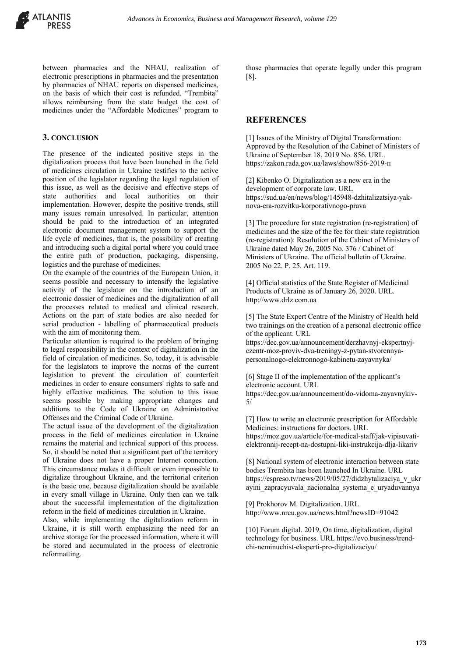between pharmacies and the NHAU, realization of electronic prescriptions in pharmacies and the presentation by pharmacies of NHAU reports on dispensed medicines, on the basis of which their cost is refunded. "Trembita" allows reimbursing from the state budget the cost of medicines under the "Affordable Medicines" program to

#### **3. CONCLUSION**

The presence of the indicated positive steps in the digitalization process that have been launched in the field of medicines circulation in Ukraine testifies to the active position of the legislator regarding the legal regulation of this issue, as well as the decisive and effective steps of state authorities and local authorities on their implementation. However, despite the positive trends, still many issues remain unresolved. In particular, attention should be paid to the introduction of an integrated electronic document management system to support the life cycle of medicines, that is, the possibility of creating and introducing such a digital portal where you could trace the entire path of production, packaging, dispensing, logistics and the purchase of medicines.

On the example of the countries of the European Union, it seems possible and necessary to intensify the legislative activity of the legislator on the introduction of an electronic dossier of medicines and the digitalization of all the processes related to medical and clinical research. Actions on the part of state bodies are also needed for serial production - labelling of pharmaceutical products with the aim of monitoring them.

Particular attention is required to the problem of bringing to legal responsibility in the context of digitalization in the field of circulation of medicines. So, today, it is advisable for the legislators to improve the norms of the current legislation to prevent the circulation of counterfeit medicines in order to ensure consumers' rights to safe and highly effective medicines. The solution to this issue seems possible by making appropriate changes and additions to the Code of Ukraine on Administrative Offenses and the Criminal Code of Ukraine.

The actual issue of the development of the digitalization process in the field of medicines circulation in Ukraine remains the material and technical support of this process. So, it should be noted that a significant part of the territory of Ukraine does not have a proper Internet connection. This circumstance makes it difficult or even impossible to digitalize throughout Ukraine, and the territorial criterion is the basic one, because digitalization should be available in every small village in Ukraine. Only then can we talk about the successful implementation of the digitalization reform in the field of medicines circulation in Ukraine.

Also, while implementing the digitalization reform in Ukraine, it is still worth emphasizing the need for an archive storage for the processed information, where it will be stored and accumulated in the process of electronic reformatting.

those pharmacies that operate legally under this program [8].

#### **REFERENCES**

[1] Issues of the Ministry of Digital Transformation: Approved by the Resolution of the Cabinet of Ministers of Ukraine of September 18, 2019 No. 856. URL. https://zakon.rada.gov.ua/laws/show/856-2019-п

[2] Kibenko O. Digitalization as a new era in the development of corporate law. URL https://sud.ua/en/news/blog/145948-dzhitalizatsiya-yaknova-era-rozvitku-korporativnogo-prava

[3] The procedure for state registration (re-registration) of medicines and the size of the fee for their state registration (re-registration): Resolution of the Cabinet of Ministers of Ukraine dated May 26, 2005 No. 376 / Cabinet of Ministers of Ukraine. The official bulletin of Ukraine. 2005 No 22. P. 25. Art. 119.

[4] Official statistics of the State Register of Medicinal Products of Ukraine as of January 26, 2020. URL. http://www.drlz.com.ua

[5] The State Expert Centre of the Ministry of Health held two trainings on the creation of a personal electronic office of the applicant. URL

https://dec.gov.ua/announcement/derzhavnyj-ekspertnyjczentr-moz-proviv-dva-treningy-z-pytan-stvorennyapersonalnogo-elektronnogo-kabinetu-zayavnyka/

[6] Stage II of the implementation of the applicant's electronic account. URL

https://dec.gov.ua/announcement/do-vidoma-zayavnykiv-5/

[7] How to write an electronic prescription for Affordable Medicines: instructions for doctors. URL

https://moz.gov.ua/article/for-medical-staff/jak-vipisuvatielektronnij-recept-na-dostupni-liki-instrukcija-dlja-likariv

[8] National system of electronic interaction between state bodies Trembita has been launched In Ukraine. URL https://espreso.tv/news/2019/05/27/didzhytalizaciya\_v\_ukr ayini\_zapracyuvala\_nacionalna\_systema\_e\_uryaduvannya

[9] Prokhorov M. Digitalization. URL http://www.nrcu.gov.ua/news.html?newsID=91042

[10] Forum digital. 2019, On time, digitalization, digital technology for business. URL https://evo.business/trendchi-neminuchist-eksperti-pro-digitalizaciyu/